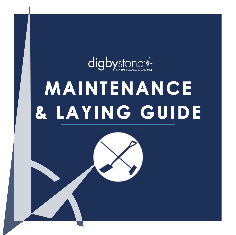

# **MAINTENANCE & LAYING GUIDE**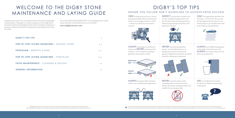**Please note:** All products must be inspected prior to installation, checking the colour, veining, thickness, sizing and finish. **NO** claims will be accepted for any reason after the product has been installed or if the product has been altered in any way after delivery. VIEW as large an area of your chosen paving as possible before purchasing to ensure you are happy with your choice – contact us to find out your nearest stockist.

INSPECT your product to make sure you are completely happy before you lay. We advise that dry laying products before laying them permanently is the



- 
- 
- 
- 

ALWAYS use an SBR bonding agent on the back of natural stone, and ALWAYS use a slurry primer on the back of porcelain tiles.



NEVER use brick acid or acidic cleaning products on natural stone.

Always check that cleaning products are suitable for use on porcelain.



ASK your Digby Stone stockist for advice on sealants and jointing compounds.

ONLY use appropriate products for driveways – look out for the car symbol throughout this brochure to see which products are suitable when laid in accordance with guidelines.



ALWAYS mix packs whilst laying to achieve an overall blended appearance.

NEVER butt joint paving when laying – you should always use an appropriate joint for your chosen product. Digby Stone products should be laid with a minimum 10mm joint.





Please note that all recommendations/instructions are given as guidance only and Digby Trading Ltd accepts no liability for any loss, damage or injury howsoever caused as a result of following them.<br>Please refer to our web

ALWAYS lay paving on a full bed of mortar and NEVER use the spot bed method – see our step by step laying guides for more advice on this.







## DIGBY'S TOP TIPS

ENSURE YOU FOLLOW OUR 9 GUIDELINES TO ACHIEVE PATIO SUCCESS

Designed as an easy to use, working document for anyone using Digby Stone products. This guide is a useful companion to the Digby Stone brochure and has been designed to give instructions/tips on laying our products, and also help with the maintenance and upkeep of the stone once laid.

You can also find downloadable PDF's of our laying patterns, colour charts and other useful information on our website **www.digbystone.com**

## WELCOME TO THE DIGBY STONE MAINTENANCE AND LAYING GUIDE

| DIGBY'S TOP TIPS                                      | 3       |
|-------------------------------------------------------|---------|
| <b>STEP-BY-STEP LAYING GUIDELINES - NATURAL STONE</b> | $4 - 5$ |
| <b>PORCELAIN - BENEFITS &amp; FAQS</b>                | $6 - 7$ |
| STEP-BY-STEP LAYING GUIDELINES - PORCELAIN            | $8 - 9$ |
| <b>PATIO MAINTENANCE - CLEANING &amp; SEALING</b>     | 10      |
| <b>GENERAL INFORMATION</b>                            | 11      |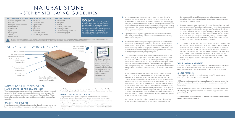- **1.** Before any work is carried out, each piece of natural stone should be inspected prior to laying as pieces will vary. No returns can be accepted once the product is installed, so it is important to confirm you are happy with your product before proceeding. When work begins, ensure the area is cleared of all vegetation and debris. Then, ideally using a scaled drawing of your planned area, you can start plot pointing by marking out the space using pegs and a string line.
- **2.** Dig the ground to a depth of approximately 150mm below the finished patio level (or 200mm deep below the finished driveway level), making sure the soil is compact.
- **3.** In the now excavated area spread a layer approximately 100mm deep of hardcore (or 150mm deep for driveways). Remember to leave room for the thickness of the flags and 30-50mm of mortar. Compact the layer of hardcore thoroughly, ideally using a plate compactor. Foundations must not be laid on water saturated ground as they may sink in time, creating uneven paving. Extra drainage may be required.
- **4.** Once happy with the layout, using your line and pegs as a reference you can start laying your flags down on a full bed of slightly wet mortar mix 30-50mm deep. For the mortar mix we advise 1 part cement to 5 parts sharp sand (some contractors use a 50/50 mixture of building and sharp sand). All products must be laid on a full bed of mortar, especially when laying a driveway. A full bed of mortar is key to help reduce moisture transparency or discolouration, as well as to provide a solid base for the patio.

 A bonding agent should be used to help the slabs adhere to the mortar bed. Our Universal Slurry Primer Pro (or a Slurry Primer mix using cement powder, water and an outdoor based SBR bonding agent to a creamy consistency) should be painted on to the back of each slab with a thickness of 1-2mm before laying when using natural stone. Use a rubber mallet to gently tap down the flags and a spirit level to check the patio is uniformly level, being careful to check you follow your slope level as you go along. To provide suitable run-off during wet weather a fall angle must be considered. Falls must be angled away from buildings or structures at an incline of 1:60 or steeper. An adequate drainage outlet source should be present at the end of the patio's run off edge. A planning officer may need to be consulted for further advice.

 It is important to note that Digby Stone products are not designed to be butt jointed, and a suggested joint of approx 10mm should be used. For products with an aged finish we suggest to increase the joint size accordingly in order to accomodate for any potential variations in edges (between 15 – 20mm approx).

- Gloves & eye protection
- Face mask
- Knee pads & steel toe boots
- Ear defenders
- Slate marker
- Spade
- Pointing tool
- Trowel
- Rubber mallet
- Pegs & line
- Spirit level
- Hammer &
- Chisel/Disc cutter
- Tile cutter (Bench saw)
- **5.** Once the main area of the patio is laid down and there are slabs that need cutting, in the case of natural stone a disc cutter with a suitable attachment or a hammer and chisel is needed to shape your flags effectively (please see our porcelain laying advice overleaf for specific guidance on cutting porcelain tiles). Once happy with the shapes of the now cut flags you may lay them down (refer to step 4) on a full bed of slightly wet mortar mix. Using a rubber mallet, gently tap down the flags and use a spirit level to check for a uniform flatness (taking into account a fall).
- **6.** Once the patio has been fully laid, ideally allow a few days for the mortar to set. There are several ways of sealing the joints between paving slabs - the installer must determine the most appropriate method to use. Some use a cement based mortar mix and so create a solid, inflexible joint. Others use a modern jointing compound that brushes in and hardens with contact with the air, commonly known as paving jointing compound. See the porcelain laying guide overleaf for specific porcelain laying instructions. When using any jointing products always follow manufacturer's instructions.

#### **WHEN LAYING A DRIVEWAY**

A minimum of 150mm compressed hardcore foundation must be used before laying products for a driveway (only suitable products to be used). It is **essential** that products are laid on a full bed of wet mortar for driveways.

#### **CIRCLE FEATURES**

These should be dry laid before final positioning on a full bed of mortar, starting from the centre of the circle outward.

**Calibrated products are subject to a minimum of +/-3mm variation. Due to the composition of natural stone, colour variations may occur after installation.**

**Some delamination (when riven parts of the stone flake off ) may occur after laying - this is perfectly normal and tends to happen near the riven part of the slab.**

**As with all Digby Stone products the spot-laying method is not suitable always use a full bed of mortar.** 

## NATURAL STONE - STEP BY STEP LAYING GUIDELINES

#### **TOOLS NEEDED FOR BOTH NATURAL STONE AND PORCELAIN: MATERIALS NEEDED: IMPORTANT:**

#### IMPORTANT INFORMATION

#### **SLATE, GRANITE ICE AND GRANITE FROST**

These products sometimes absorb colour impurities from ordinary portland cement (OPC). We strongly recommend substituting white cement in the mortar to reduce colour leeching and staining, and Universal Slurry Primer Pro or other bonding agent. Lay granite with the textured slip resistant face upwards.

#### **GRANITE – ALL COLOURS**

Depending on site conditions, moisture coming through from the mortar bed below can create moisture transparency (dark/damp patchiness on the

installed product) which is a natural drying process that can affect all slabs (particularly granite). This is completely normal and should dry out over time.

#### **VEINING IN GRANITE PRODUCTS**

Our granite products (particularly Dusk) may display natural veins and patterns which may not be visible when the product is dry. It is advised that when the stone is dry laid before fixing you should wet the stone to ensure you are happy with the appearance, as veins/patterns become more apparent when wet. Veins are a natural feature of the product and are often mistaken as cracks – veins should not be considered a defect as they will not affect the durability of the product.

• Soft broom

- Compactor plate
- Tape measure

*We would strongly recommend that gloves, eye protection, face mask, knee pads, steel toe boots, suitable protective clothing & ear defenders are used accordingly. Training may be needed to operate certain equipment. Always work in a safe manner in accordance with current health and safety legislation. For advice, telephone 0300 003 1747 or visit www.hse.gov.uk*

- **MATERIALS NEEDED:**
- Paving slabs
- Sharp sand
- Mortar
- Watering can & rose
- Pointing material
- Universal Slurry Primer Pro • SBR bonding agent
- 

All Digby Stone products are designed for domestic landscaping use only. Contact us for information on commercial projects. Products are not designed for use on driveways unless stated – suitable products are marked in this brochure with the car symbol (domestic use only). Ensure driveway laying guidelines are followed.

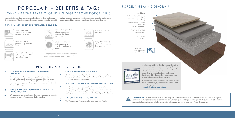

#### **Q IS DIGBY STONE PORCELAIN SUITABLE FOR USE ON DRIVEWAYS?**

**A** In our current porcelain range, our range of Porcelain Cobbles is the only product that is suitable for driveways provided that correct driveway laying guidelines are followed (these can be found within our natural stone laying guide). All other porcelain products are not suitable for use on driveways.

#### **Q WHAT SIZE JOINTS DO YOU RECOMMEND USING WHEN LAYING PORCELAIN?**

**A** We advise an approx joint of 10mm. Check out our guide to laying on the next page for more information on jointing porcelain.

#### **Q CAN PORCELAIN TILES BE BUTT JOINTED?**

Porcelain is the most innovative new product in the world of landscaping. Fired at up to 1400°C, this product offers an exceptional durability alongside

> **A** No - the tiles have a very slight chamfer which means it is not suitable for butt jointing. Read our troubleshooting guide for further advice on why we do not recommend butt jointing.

#### **Q HOW DO YOU CUT PORCELAIN? ARE THEY DIFFICULT TO CUT?**

**A** Porcelain can be cut with a disc cutter fitted with a suitable-forporcelain diamond blade (this must be a petrol disc cutter as you must feed the disc with water to cut). However, for neater and more accurate cutting, we recommend a suitable water-fed tile bridge saw is to be used.

### PORCELAIN – BENEFITS & FAQs WHAT ARE THE BENEFITS OF USING DIGBY STONE PORCELAIN?

#### **Q ARE PORCELAIN TILES EASY TO MAINTAIN?**

**A** Yes! They can simply be cleaned using soapy water and a brush.

Our For more advice on cleaning our porcelain tiles, our series of videos includes two helpful guides which demonstrate a series of stain removals from porcelain 111111111111 tiles. The Homeowner video shows stains such as tea, coffee, red wine and barbecue food; and the digbystone Landscaper video shows stains which may occur on side including mortar and slurry primer. video Guides

high performance technology which allows you to have a low maintenance landscape combined with the beautiful aesthetic of natural paving.

Resistant to fading, meaning that the patio will retain its colour



Little to no moisture

absorption

Slightly textured which provides a slip resistant finish



Easy to clean - porcelain tiles are non porous,

meaning that they are stain resistant Scratch and abrasion

Frost/salt\* resistant due to its minimal moisture absorption rate

resistant, giving an incredibly hard wearing surface

Designed for exterior use (tiles are 18/20mm thick

depending on range)

*\*When using salt, please use sparingly. Do not leave the salt on the patio for a prolonged period of time - ensure salt is swept away once frost has lifted. Once weather has improved, wash over the patio in the normal way.*

#### **IT HAS NUMEROUS BENEFICIAL ATTRIBUTES, INCLUDING:**



#### FREQUENTLY ASKED QUESTIONS

#### PORCELAIN LAYING DIAGRAM

Porcelain tile

Universal Slurry Primer Pro painted onto back of tile to assist bonding

**Full** mortar bed 30-50mm (do not use spot laying method)

> Compressed hardcore sub-base 50 -100mm (type 1 material)

> > Ground dug out 150mm deep



Check out the videos section of our website to find out more - visit www.digbystone.com/videos to see our full range of helpful guide videos. **www.digbystone.com/videos**



,,,,,,,,,,,,,,

**REMEMBER**: to provide suitable run-off during wet weather a fall angle must be considered. Falls must be angled away from buildings or structures at an incline of 1:60 or steeper. An adequate drainage outlet source should be present at the end of the patio's run off edge. A planning officer may need to be consulted for further advice.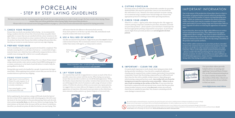#### **6. CUTTING PORCELAIN**

Porcelain can be cut with a disc cutter fitted with a suitable-for-porcelain diamond blade (this must be a petrol disc cutter as you must feed the disc with water to cut). However, for neater and more accurate cutting, we recommend using a suitable water-fed tile bridge saw. Ensure that appropriate protective clothing is worn while operating machinery.

#### **7. CHECK YOUR JOINTS**

Allow for 10-12mm+/- approx joints when laying the tiles. We suggest an outdoor jointing compound (suitable for porcelain) should be used with our porcelain products – please speak to your merchant or landscaper for the most appropriate jointing compound for your project. As previously stated, Digby Stone porcelain products are **not designed to be butt jointed**.

#### **8. IMPORTANT – CLEAN THE JOB**

It is particularly important to work cleanly when laying porcelain, both during and after installation. Once the job is completed, additional cleaning may be required if any residue remains, particularly from jointing compounds. Ensure that the jointing compound has set sufficiently and then clean the tiles with a suitable residue remover (depending upon which jointing compound has been used). **Any residue left over from the laying process must be removed as soon as possible – failure to do so may result in staining on the surface of the tiles.** If your porcelain has been laid in conjunction with any natural stone, ensure that the porcelain cleaner/residue remover you are using **does not** contain any acid and check they are suitable for porcelain. Any cleaners containing acid will cause damage to natural stone.

We would strongly recommend that gloves, eye protection, face mask, knee pads, steel toe boots, suitable protective clothing & ear defenders are used accordingly.<br>Always work in a safe manner in accordance with current hea

We have created a step-by-step laying guide specifically for porcelain products in order to help you get the best results when laying. Please ensure that you follow guidelines when laying Digby Stone porcelain products. Please refer to our natural stone laying guidelines on pages 4 -5 for a list of tools and materials required for laying porcelain.

Digby Stone's Universal Slurry Primer Pro only requires 7L of water per 20kg bag to produce a creamy consistency.

Once mixed apply 1-2 mm to the back of the slab.





## PORCELAIN - STEP BY STEP LAYING GUIDELINES

Please remember that – as with all Digby Stone products – the spot laying method is **not suitable!**

### IMPORTANT INFORMATION

Due to the nature of the production of porcelain, there is a limit to the number of repeated surface textures which are produced for each colour (with the number of repeats varying depending upon range). Whilst we endeavour to maximise the variety of textures within each order, there may be a number of repeats within your order, particularly if you are laying a large area of porcelain. Refer to step 5 opposite for advice on reducing the appearance of repeated slabs.

In porcelain tiles, there may be slight subtle differences in surface texture and finish between tiles. These differences may appear exaggerated in direct sunlight. This is due to minor variations in conditions which may occur during the manufacturing process. Any difference between tiles will not affect the slip rating or durability of the product and is purely aesthetic.

There will be subtle variation in our porcelain products, intended to mirror the variations found in natural stone products. Porcelain products, much like any other manufactured product, are made in batches. There can be slight shade variations between batches – please consider this when purchasing for the same project on separate occasions. In order to ensure that your patio will have an overall blended appearance, always mix from multiple pallets when laying rather than laying one pallet at a time.



#### **1. CHECK YOUR PRODUCT**

Always check the suitability of ANY cleaning solution with the manufacturer prior to use. Failure to do so may result in permanent damage to the product.<br>You may wish to use a porcelain suitable mild acid based cleaner, ho **not be used** as this will damage the natural stone. **Brick acid should not be used to clean porcelain.** 

Ensure that you check your product before laying – we recommend dry laying a random selection of your tiles (from more than one pallet where applicable) to ensure that you are satisfied with the colour variation in the tiles. Claims or returns based on colour variation will not be accepted once the product has been laid. Ensure that whilst working with porcelain tiles that they are rested on wooden battens to prevent any edge chipping.

#### **2. PREPARE YOUR BASE**

Prior to installation, all necessary ground work should be completed. This includes ensuring there is a sub-base of at least 50 –100mm thick of type 1 material (hard-core) which has been sufficiently compacted down, with a suitable water drainage fall (a fall of 1:60 is usually adequate).

#### **3. PRIME YOUR SLABS**

Apply Digby Stone Universal Slurry Primer Pro (or a Slurry Primer mixed using cement powder, water and an outdoor based SBR bonding agent to a creamy consistency) to the back of each tile before it is laid to help the paving adhere to the bed.

Paving slabs may need to be handled by 2 people (in particular the larger sized slabs). When applying slurry primer, ensure that you rest the tile on wooden battens to prevent any chipping.

Before applying the slurry primer, using a stiff brush, brush the back of the tile to clean off the magnesium oxide releasing agents, this will create the bond of the slurry primer to the porcelain paving. Paint each tile with slurry primer **as you lay them**, not all at once before you begin laying. The slurry primer on the back of the tile must still be wet when it is laid down, therefore you should not prime all slabs first before you start laying. This

will ensure that the tile adheres to the mortar bed correctly. If any slurry primer is on the face-up side of the slab, immediately wash away the residue with water as you work.

#### **4. USE A FULL BED OF MORTAR**

Just like our natural stone products, Digby Stone porcelain **must** be laid on a full wet bed of mortar. We recommend a mixture of a moist consistency (rather than runny) with approx. 4:1 sharp sand to cement.

#### **5. LAY YOUR SLABS**

It is essential that each tile is tapped down to ensure as much of the tile as possible comes into contact with the mortar. When laying your project, ensure that you mix tiles to achieve an overall blended appearance. While the finishes of porcelain have less surface variation than natural stone, they are still designed with a level of variation to add a range of texture to their surface. If within the selection of tiles you encounter any repeat patterns, we suggest that you rotate slabs 90/180 degrees in order to minimise the appearance of repetition (this may be more prevalent in tiles which have a more extensive surface pattern e.g. Quartz Grigioni or Universal Oak).





Our porcelain videos provide helpful advice on mixing and applying Universal Slurry Primer Pro, as well as demonstrating how to clean a variety of stains from the surface of the tiles. Check out the videos section of our website to find out more.

#### **www.digbystone.com/videos**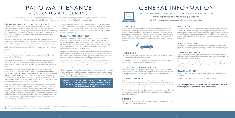#### **DRIVEWAYS**

Products which are suitable for use on driveways are marked in our product brochure with the car symbol. For further advice please check with your stockist or call us for advice on installation of driveways. It is essential that driveways are laid on a full bed of mortar - please see our natural stone laying guidelines for advice (when laying porcelain cobbles for a driveway please ensure the advice in our natural stone laying guidelines for laying a driveway is followed).

#### **INDOOR USE**

For indoor use, a coating is advised to reduce dusting and make cleaning easier. Always seal the products to avoid staining.

Always seek advice from the chemical manufacturers and ensure you follow manufacturer's instructions when using sealants.

#### **USE AROUND SWIMMING POOLS**

Advice from Digby Trading Ltd should be sought about suitability for use of products around swimming pools. Some products react to the chemicals used to treat pool water, and bonding agents can react to heat from fireplaces.

#### **COATINGS/SEALANTS**

Sealing is a personal choice as some sealers make the paving look permanently wet or permanently dry. Please always check directly with the manufacturers or your stockist. Responsibility for the performance of any coating rests with the user and the manufacturer of the coating.

Always read the instructions carefully and first test a small area for colour and slip resistance, wet and dry. REMEMBER once applied it is very difficult or impossible to remove.

#### **DUSTING**

Some dusting and scuff marks may be visible on some of our products, due to transportation, which is unavoidable.

#### **DIMENSIONS**

All dimensions given are nominal and subject to manufacturing tolerances. The quoted sizes and coverage of our paving ranges, except where using minimal joints, are for the overall areas including appropriate joints, making it easier for you to plan a project and order the right quantities. For a more general guide in tolerances of our products, measure several product samples at a stockist.

#### **MANUAL HANDLING**

Please note: Care should be taken whilst manually handling Digby Stone products to prevent injury and/or damage. Extra assistance may be required.

#### **TERMS & CONDITIONS**

Digby Stone cannot accept any liability if products are used for purposes other than those for which they were intended, or they are laid other than in accordance with recommendations.

The recommendations we provide are for guidance purposes only and any applicable building regulations or planning requirements should be followed at all times.

#### **HEALTH & SAFETY**

Always work in a safe manner in accordance with current health and safety legislation.

For advice, telephone 0300 003 1747 or visit www.hse.gov.uk

SEE OUR WEBSITE FOR DOWNLOADABLE LAYING PATTERNS AT:

#### **www.digbystone.com/laying-patterns**

All Digby Stone products are designed to be laid with 10-15mm joints.



#### **For full Digby Stone terms and conditions visit our website at www.digbystone.com/terms-and-conditions/**

## PATIO MAINTENANCE - CLEANING AND SEALING

In order to help you keep your Digby Stone patio in great condition, we have put together a list of helpful guidelines to follow. Please ensure that suitable safety clothing and equipment is used when cleaning or sealing.

#### **CLEANING EQUIPMENT AND CHEMICALS**

The safest and simplest way to clean a patio is to scrub it with a stiff brush and warm soapy water solution (do not use soap solutions with any sign of acid content). Once dirt and foreign objects are loosened from the flags, a watering can or a watering hose can be used to wash the residue away (care must be taken so as not to disturb the jointing materials in both the scrubbing and rinsing of the patio).

We would strongly recommend that gloves, eye protection, face mask, knee pads, steel toe boots, suitable protective clothing & ear defenders are used accordingly. Always work in a safe manner in accordance with current *health and safety legislation. For advice, telephone 0300 003 1747 or visit www.hse.gov.uk*

Pressure washers are a good tool to remove more stubborn algae/moss and dirt from natural stone and porcelain but will not remove all stains (such as oil stains). While using a pressure washer can rejuvenate dirty and tired paving, using one on a regular basis can cause damage. The pressurised force of the water can exploit minor cracks/weaknesses and dislodge loose stone or weak jointing.

When using a pressure washer, keep the nozzle approximately 15-30cm away from the patio and at a shallow angle (approx. 30 degrees) so that jointing material is not dislodged.

For more acutely stained areas, a toothbrush can be used with warm soapy water to aid in removing more awkward dirt deposits (it is advised that if cleaning on your knees, a kneeling mat or kneepads should be used to prevent injury).

Before using any chemicals, the manufacturer of the chemical should be consulted about its suitability on natural stone. **Under no circumstances should brick acid or acid based cleaner be used on natural stone products as it will damage the stone**. Before any chemical is applied to a patio, it is advised to see if it reacts on a test piece or on a section in a discreet area. It is also advisable to leave the test piece/area for a few days to observe if a reaction occurs before proceeding to the rest of the patio.

When cleaning porcelain paving, most stains can be removed by using warm soapy water or a pressure washer. Agitating heavier stains using a stiff brush can help to lift any debris which has become stuck to the surface. Thicker deposits on porcelain such as mortar or slurry primer can be lifted by carefully scraping the deposit followed by washing with a pressure washer, however care must be taken to avoid damaging the surface of the tile. You must also take care around the joints of your porcelain paving when using a pressure washer to avoid dislodging any jointing compound.

If you are struggling to remove more stubborn stains, you may wish to use a suitable outdoor based porcelain cleaner. If your porcelain has been laid in conjunction with any natural stone, ensure that the porcelain cleaner you are using does not contain any acid. Any cleaners containing acid will cause damage to natural stone.

#### **SEALANTS AND COATINGS**

It is not necessary to use a sealant on natural stone. However, if sealing is desired it is important to consider which type of sealant to use, as different manufacturers specify different enhancements depending upon the product. Some sealers will provide either a permanently "wet"/gloss or a permanently dry appearance to the stone. The choice of sealer to use is entirely a personal preference depending upon the desired finish.

Always check with the manufacturer's suitability on your stone choice and test on a small area first. When applying sealants always follow the manufacturer's instructions. Please remember that once applied it is difficult or in some cases impossible to remove, and may need to be reapplied every few years.

If natural stone is used for indoor projects (e.g. in a kitchen) it is advisable to seal the stone in order to protect it from household stains which may occur, however we would advise that you consult with your installer for specific advice on your project.

It is **not necessary** to use sealants on porcelain paving. However, if you do wish to seal porcelain paving, please note that you will need to use a sealing product which is specifically designed for use on porcelain – sealants which are specific for use on natural stone cannot be used.

**THESE INSTRUCTIONS ARE ONLY A GUIDE AND DIGBY TRADING LTD ACCEPTS NO LIABILITY FOR ANY LOSS, DAMAGE OR INJURY HOWSOEVER CAUSED AS A RESULT OF FOLLOWING THEM. IF IN DOUBT, SEEK THE ADVICE OF A PROFESSIONAL CLEANING COMPANY.**



## GENERAL INFORMATION